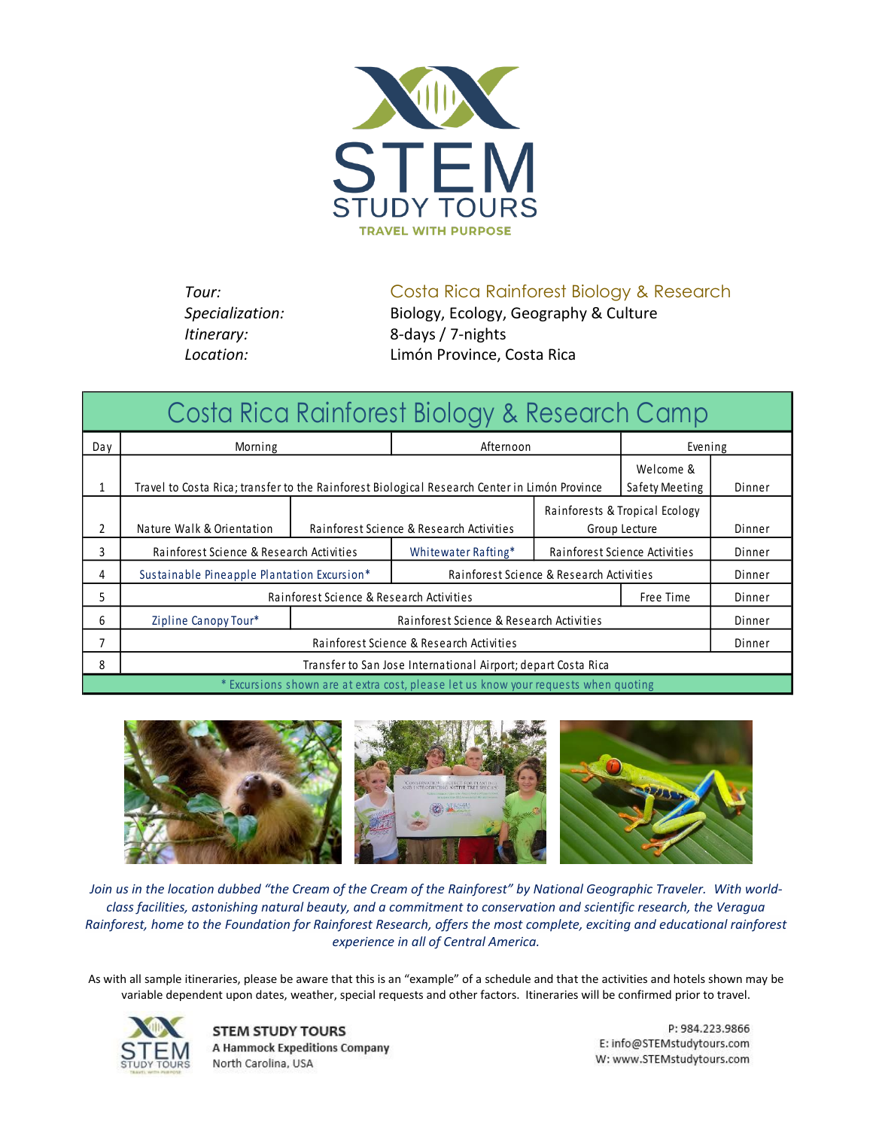

**Tour:** Costa Rica Rainforest Biology & Research

*Specialization:* Biology, Ecology, Geography & Culture *Itinerary:* 8*-*days / 7-nights *Location:* Limón Province, Costa Rica

| Costa Rica Rainforest Biology & Research Camp                                       |                                                                                                                              |                                          |                                          |                               |               |        |  |
|-------------------------------------------------------------------------------------|------------------------------------------------------------------------------------------------------------------------------|------------------------------------------|------------------------------------------|-------------------------------|---------------|--------|--|
| Day                                                                                 | Morning                                                                                                                      |                                          | Afternoon                                |                               | Evening       |        |  |
| 1                                                                                   | Welcome &<br>Travel to Costa Rica; transfer to the Rainforest Biological Research Center in Limón Province<br>Safety Meeting |                                          |                                          | Dinner                        |               |        |  |
|                                                                                     |                                                                                                                              | Rainforests & Tropical Ecology           |                                          |                               |               |        |  |
| 2                                                                                   | Nature Walk & Orientation                                                                                                    | Rainforest Science & Research Activities |                                          |                               | Group Lecture |        |  |
| 3                                                                                   | Rainforest Science & Research Activities                                                                                     |                                          | Whitewater Rafting*                      | Rainforest Science Activities |               | Dinner |  |
| 4                                                                                   | Sustainable Pineapple Plantation Excursion*                                                                                  |                                          | Rainforest Science & Research Activities |                               |               | Dinner |  |
| 5                                                                                   | Rainforest Science & Research Activities                                                                                     |                                          |                                          | Free Time                     | Dinner        |        |  |
| 6                                                                                   | Zipline Canopy Tour*                                                                                                         | Rainforest Science & Research Activities |                                          |                               | Dinner        |        |  |
| 7                                                                                   | Rainforest Science & Research Activities                                                                                     |                                          |                                          |                               |               | Dinner |  |
| 8                                                                                   | Transfer to San Jose International Airport; depart Costa Rica                                                                |                                          |                                          |                               |               |        |  |
| * Excursions shown are at extra cost, please let us know your requests when quoting |                                                                                                                              |                                          |                                          |                               |               |        |  |



*Join us in the location dubbed "the Cream of the Cream of the Rainforest" by National Geographic Traveler. With worldclass facilities, astonishing natural beauty, and a commitment to conservation and scientific research, the Veragua Rainforest, home to the Foundation for Rainforest Research, offers the most complete, exciting and educational rainforest experience in all of Central America.*

As with all sample itineraries, please be aware that this is an "example" of a schedule and that the activities and hotels shown may be variable dependent upon dates, weather, special requests and other factors. Itineraries will be confirmed prior to travel.



**STEM STUDY TOURS A Hammock Expeditions Company** North Carolina, USA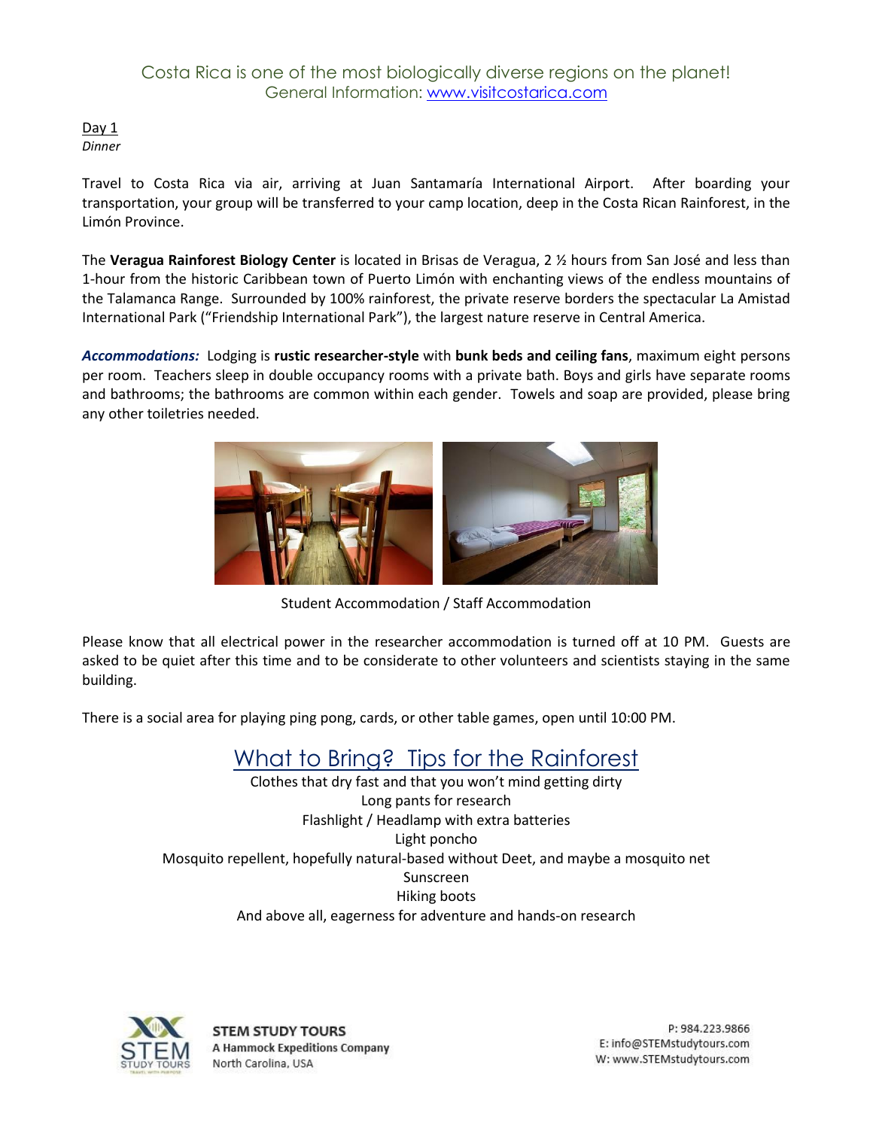## Costa Rica is one of the most biologically diverse regions on the planet! General Information: [www.visitcostarica.com](http://www.visitcostarica.com/)

Day  $1$ *Dinner*

Travel to Costa Rica via air, arriving at Juan Santamaría International Airport. After boarding your transportation, your group will be transferred to your camp location, deep in the Costa Rican Rainforest, in the Limón Province.

The **Veragua Rainforest Biology Center** is located in Brisas de Veragua, 2 ½ hours from San José and less than 1-hour from the historic Caribbean town of Puerto Limón with enchanting views of the endless mountains of the Talamanca Range. Surrounded by 100% rainforest, the private reserve borders the spectacular La Amistad International Park ("Friendship International Park"), the largest nature reserve in Central America.

*Accommodations:* Lodging is **rustic researcher-style** with **bunk beds and ceiling fans**, maximum eight persons per room. Teachers sleep in double occupancy rooms with a private bath. Boys and girls have separate rooms and bathrooms; the bathrooms are common within each gender. Towels and soap are provided, please bring any other toiletries needed.



Student Accommodation / Staff Accommodation

Please know that all electrical power in the researcher accommodation is turned off at 10 PM. Guests are asked to be quiet after this time and to be considerate to other volunteers and scientists staying in the same building.

There is a social area for playing ping pong, cards, or other table games, open until 10:00 PM.

# What to Bring? Tips for the Rainforest

Clothes that dry fast and that you won't mind getting dirty Long pants for research Flashlight / Headlamp with extra batteries Light poncho Mosquito repellent, hopefully natural-based without Deet, and maybe a mosquito net Sunscreen Hiking boots And above all, eagerness for adventure and hands-on research



**STEM STUDY TOURS A Hammock Expeditions Company** North Carolina, USA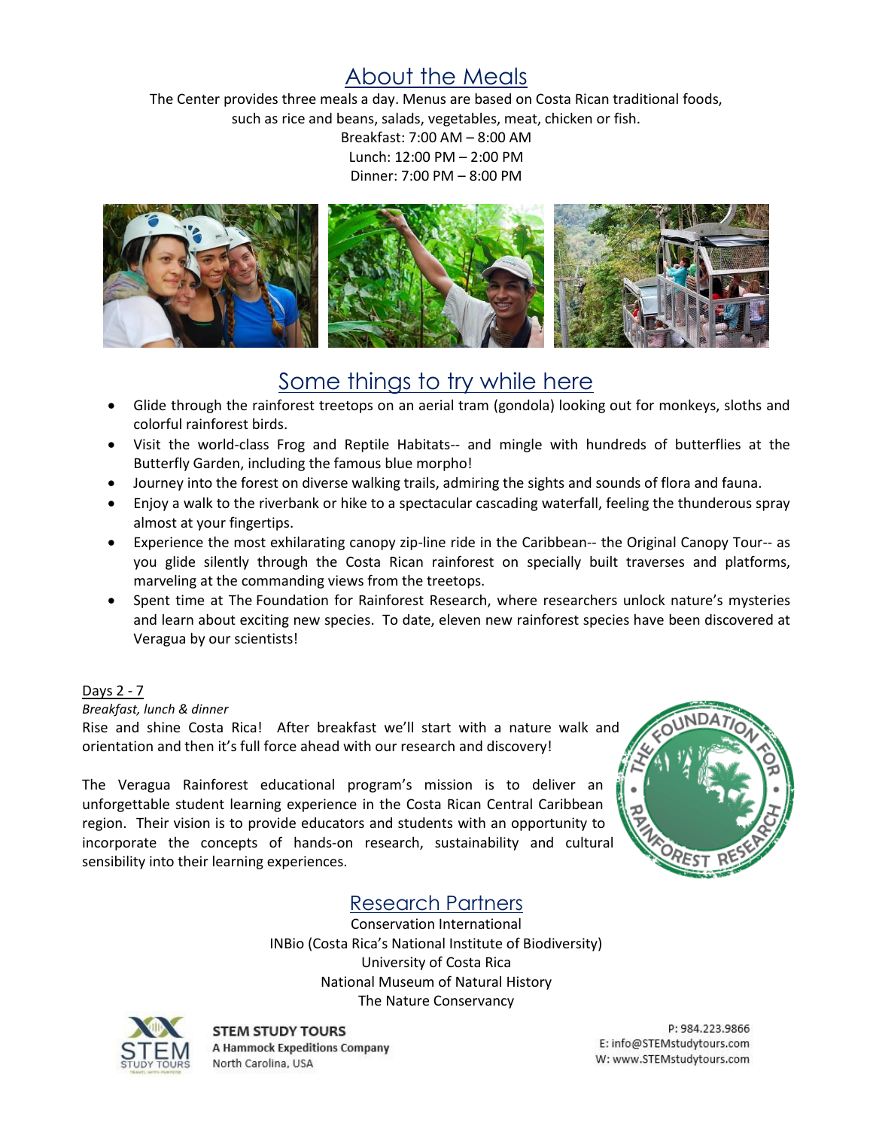# About the Meals

The Center provides three meals a day. Menus are based on Costa Rican traditional foods, such as rice and beans, salads, vegetables, meat, chicken or fish.

> Breakfast: 7:00 AM – 8:00 AM Lunch: 12:00 PM – 2:00 PM Dinner: 7:00 PM – 8:00 PM



## Some things to try while here

- Glide through the rainforest treetops on an aerial tram (gondola) looking out for monkeys, sloths and colorful rainforest birds.
- Visit the world-class Frog and Reptile Habitats-- and mingle with hundreds of butterflies at the Butterfly Garden, including the famous blue morpho!
- Journey into the forest on diverse walking trails, admiring the sights and sounds of flora and fauna.
- Enjoy a walk to the riverbank or hike to a spectacular cascading waterfall, feeling the thunderous spray almost at your fingertips.
- Experience the most exhilarating canopy zip-line ride in the Caribbean-- the Original Canopy Tour-- as you glide silently through the Costa Rican rainforest on specially built traverses and platforms, marveling at the commanding views from the treetops.
- Spent time at The Foundation for Rainforest Research, where researchers unlock nature's mysteries and learn about exciting new species. To date, eleven new rainforest species have been discovered at Veragua by our scientists!

## Days 2 - 7

*Breakfast, lunch & dinner*

Rise and shine Costa Rica! After breakfast we'll start with a nature walk and orientation and then it's full force ahead with our research and discovery!

The Veragua Rainforest educational program's mission is to deliver an unforgettable student learning experience in the Costa Rican Central Caribbean region. Their vision is to provide educators and students with an opportunity to incorporate the concepts of hands-on research, sustainability and cultural sensibility into their learning experiences.



## Research Partners

Conservation International INBio (Costa Rica's National Institute of Biodiversity) University of Costa Rica National Museum of Natural History The Nature Conservancy



**STEM STUDY TOURS A Hammock Expeditions Company** North Carolina, USA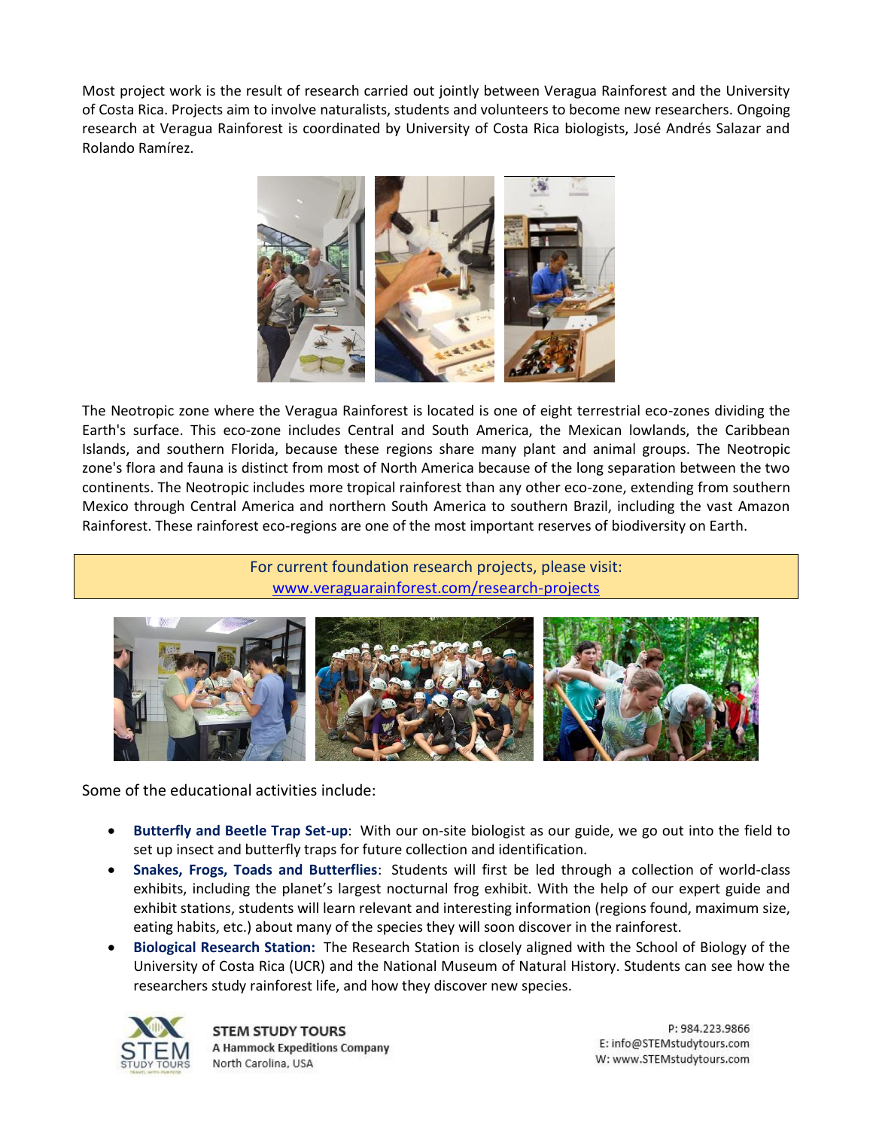Most project work is the result of research carried out jointly between Veragua Rainforest and the University of Costa Rica. Projects aim to involve naturalists, students and volunteers to become new researchers. Ongoing research at Veragua Rainforest is coordinated by University of Costa Rica biologists, José Andrés Salazar and Rolando Ramírez.



The Neotropic zone where the Veragua Rainforest is located is one of eight terrestrial eco-zones dividing the Earth's surface. This eco-zone includes Central and South America, the Mexican lowlands, the Caribbean Islands, and southern Florida, because these regions share many plant and animal groups. The Neotropic zone's flora and fauna is distinct from most of North America because of the long separation between the two continents. The Neotropic includes more tropical rainforest than any other eco-zone, extending from southern Mexico through Central America and northern South America to southern Brazil, including the vast Amazon Rainforest. These rainforest eco-regions are one of the most important reserves of biodiversity on Earth.

> For current foundation research projects, please visit: [www.veraguarainforest.com/research-projects](http://www.veraguarainforest.com/research-projects)



Some of the educational activities include:

- **Butterfly and Beetle Trap Set-up**: With our on-site biologist as our guide, we go out into the field to set up insect and butterfly traps for future collection and identification.
- **Snakes, Frogs, Toads and Butterflies**: Students will first be led through a collection of world-class exhibits, including the planet's largest nocturnal frog exhibit. With the help of our expert guide and exhibit stations, students will learn relevant and interesting information (regions found, maximum size, eating habits, etc.) about many of the species they will soon discover in the rainforest.
- **Biological Research Station:** The Research Station is closely aligned with the School of Biology of the University of Costa Rica (UCR) and the National Museum of Natural History. Students can see how the researchers study rainforest life, and how they discover new species.



**STEM STUDY TOURS A Hammock Expeditions Company** North Carolina, USA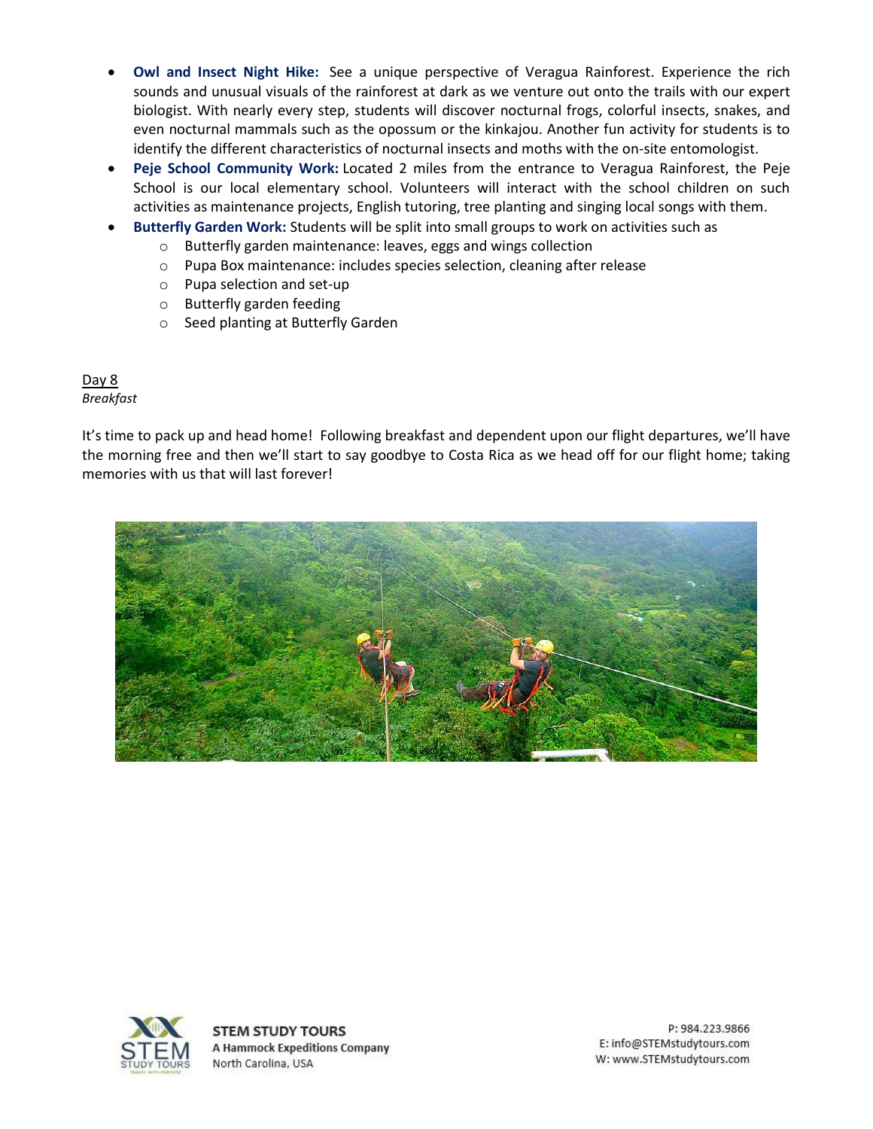- **Owl and Insect Night Hike:** See a unique perspective of Veragua Rainforest. Experience the rich sounds and unusual visuals of the rainforest at dark as we venture out onto the trails with our expert biologist. With nearly every step, students will discover nocturnal frogs, colorful insects, snakes, and even nocturnal mammals such as the opossum or the kinkajou. Another fun activity for students is to identify the different characteristics of nocturnal insects and moths with the on-site entomologist.
- **Peje School Community Work:** Located 2 miles from the entrance to Veragua Rainforest, the Peje School is our local elementary school. Volunteers will interact with the school children on such activities as maintenance projects, English tutoring, tree planting and singing local songs with them.
- **Butterfly Garden Work:** Students will be split into small groups to work on activities such as
	- o Butterfly garden maintenance: leaves, eggs and wings collection
	- o Pupa Box maintenance: includes species selection, cleaning after release
	- o Pupa selection and set-up
	- o Butterfly garden feeding
	- o Seed planting at Butterfly Garden

Day 8 *Breakfast*

It's time to pack up and head home! Following breakfast and dependent upon our flight departures, we'll have the morning free and then we'll start to say goodbye to Costa Rica as we head off for our flight home; taking memories with us that will last forever!





**STEM STUDY TOURS A Hammock Expeditions Company** North Carolina, USA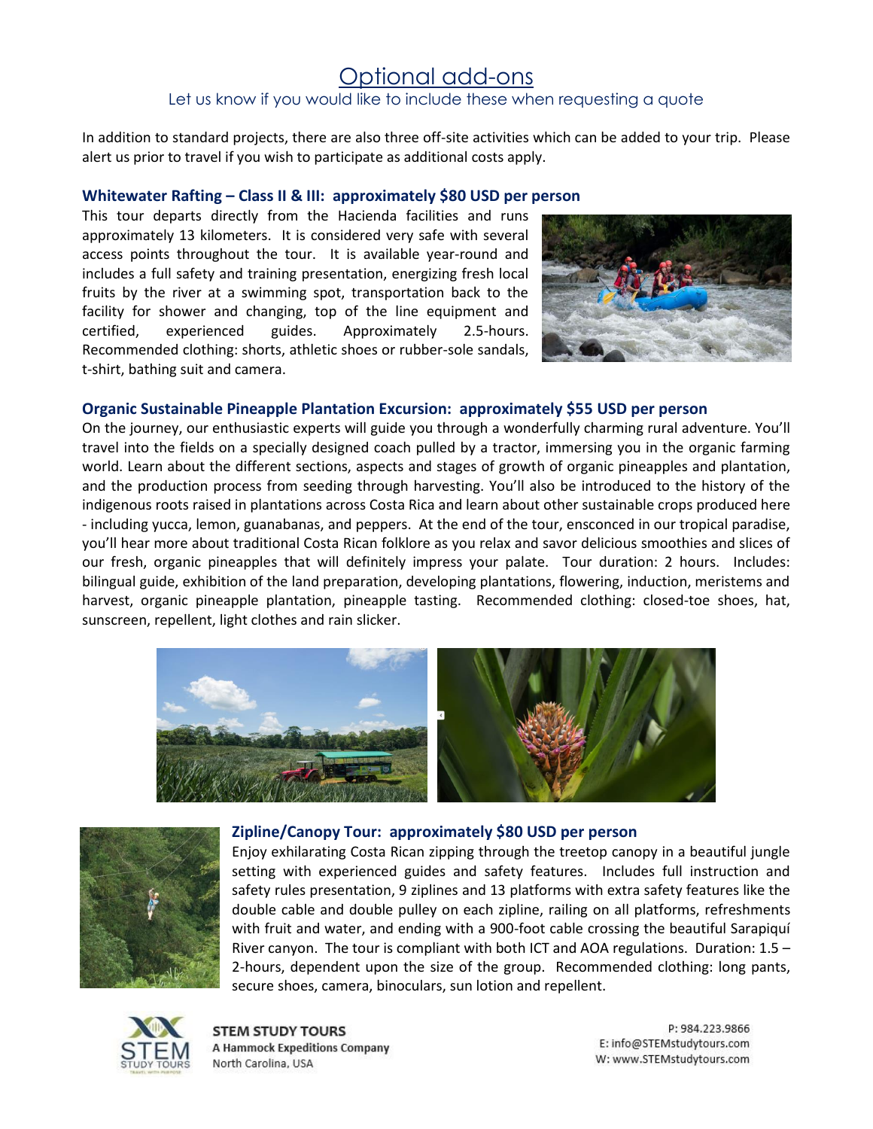## Optional add-ons Let us know if you would like to include these when requesting a quote

In addition to standard projects, there are also three off-site activities which can be added to your trip. Please alert us prior to travel if you wish to participate as additional costs apply.

#### **Whitewater Rafting – Class II & III: approximately \$80 USD per person**

This tour departs directly from the Hacienda facilities and runs approximately 13 kilometers. It is considered very safe with several access points throughout the tour. It is available year-round and includes a full safety and training presentation, energizing fresh local fruits by the river at a swimming spot, transportation back to the facility for shower and changing, top of the line equipment and certified, experienced guides. Approximately 2.5-hours. Recommended clothing: shorts, athletic shoes or rubber-sole sandals, t-shirt, bathing suit and camera.



#### **Organic Sustainable Pineapple Plantation Excursion: approximately \$55 USD per person**

On the journey, our enthusiastic experts will guide you through a wonderfully charming rural adventure. You'll travel into the fields on a specially designed coach pulled by a tractor, immersing you in the organic farming world. Learn about the different sections, aspects and stages of growth of organic pineapples and plantation, and the production process from seeding through harvesting. You'll also be introduced to the history of the indigenous roots raised in plantations across Costa Rica and learn about other sustainable crops produced here - including yucca, lemon, guanabanas, and peppers. At the end of the tour, ensconced in our tropical paradise, you'll hear more about traditional Costa Rican folklore as you relax and savor delicious smoothies and slices of our fresh, organic pineapples that will definitely impress your palate. Tour duration: 2 hours. Includes: bilingual guide, exhibition of the land preparation, developing plantations, flowering, induction, meristems and harvest, organic pineapple plantation, pineapple tasting. Recommended clothing: closed-toe shoes, hat, sunscreen, repellent, light clothes and rain slicker.





#### **Zipline/Canopy Tour: approximately \$80 USD per person**

Enjoy exhilarating Costa Rican zipping through the treetop canopy in a beautiful jungle setting with experienced guides and safety features. Includes full instruction and safety rules presentation, 9 ziplines and 13 platforms with extra safety features like the double cable and double pulley on each zipline, railing on all platforms, refreshments with fruit and water, and ending with a 900-foot cable crossing the beautiful Sarapiquí River canyon. The tour is compliant with both ICT and AOA regulations. Duration:  $1.5 -$ 2-hours, dependent upon the size of the group. Recommended clothing: long pants, secure shoes, camera, binoculars, sun lotion and repellent.



**STEM STUDY TOURS A Hammock Expeditions Company** North Carolina, USA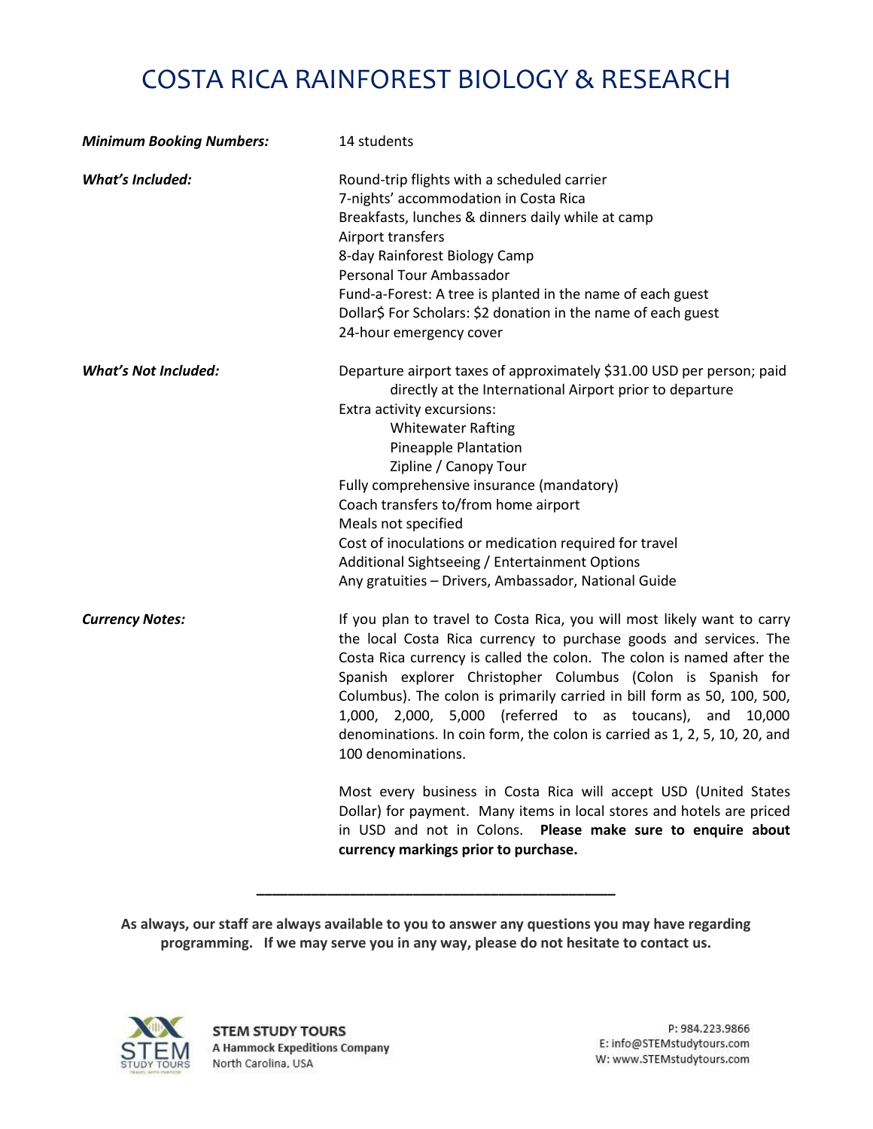# COSTA RICA RAINFOREST BIOLOGY & RESEARCH

| <b>Minimum Booking Numbers:</b> | 14 students                                                                                                                                                                                                                                                                                                                                                                                                                                                                                                                    |  |  |
|---------------------------------|--------------------------------------------------------------------------------------------------------------------------------------------------------------------------------------------------------------------------------------------------------------------------------------------------------------------------------------------------------------------------------------------------------------------------------------------------------------------------------------------------------------------------------|--|--|
| <b>What's Included:</b>         | Round-trip flights with a scheduled carrier<br>7-nights' accommodation in Costa Rica<br>Breakfasts, lunches & dinners daily while at camp<br>Airport transfers<br>8-day Rainforest Biology Camp<br>Personal Tour Ambassador<br>Fund-a-Forest: A tree is planted in the name of each guest<br>Dollar\$ For Scholars: \$2 donation in the name of each guest<br>24-hour emergency cover                                                                                                                                          |  |  |
| <b>What's Not Included:</b>     | Departure airport taxes of approximately \$31.00 USD per person; paid<br>directly at the International Airport prior to departure<br>Extra activity excursions:<br><b>Whitewater Rafting</b><br>Pineapple Plantation<br>Zipline / Canopy Tour<br>Fully comprehensive insurance (mandatory)<br>Coach transfers to/from home airport<br>Meals not specified<br>Cost of inoculations or medication required for travel<br>Additional Sightseeing / Entertainment Options<br>Any gratuities - Drivers, Ambassador, National Guide  |  |  |
| <b>Currency Notes:</b>          | If you plan to travel to Costa Rica, you will most likely want to carry<br>the local Costa Rica currency to purchase goods and services. The<br>Costa Rica currency is called the colon. The colon is named after the<br>Spanish explorer Christopher Columbus (Colon is Spanish for<br>Columbus). The colon is primarily carried in bill form as 50, 100, 500,<br>1,000, 2,000, 5,000 (referred to as toucans), and 10,000<br>denominations. In coin form, the colon is carried as 1, 2, 5, 10, 20, and<br>100 denominations. |  |  |
|                                 | Most every business in Costa Rica will accept USD (United States<br>Dollar) for payment. Many items in local stores and hotels are priced<br>in USD and not in Colons. Please make sure to enquire about<br>currency markings prior to purchase.                                                                                                                                                                                                                                                                               |  |  |

**As always, our staff are always available to you to answer any questions you may have regarding programming. If we may serve you in any way, please do not hesitate to contact us.**

**\_\_\_\_\_\_\_\_\_\_\_\_\_\_\_\_\_\_\_\_\_\_\_\_\_\_\_\_\_\_\_\_\_\_\_\_\_\_\_\_\_\_\_\_\_\_**